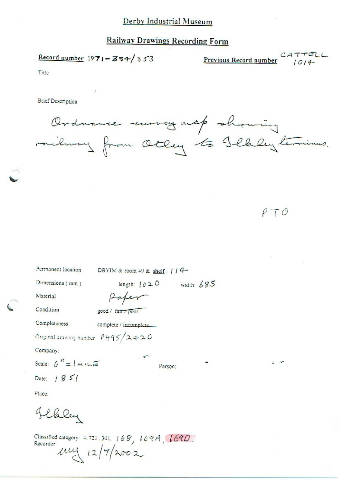# **Railway Drawings Recording Form**

Record number  $1971 - 384/353$ 

Previous Record number  $CATTELL$ 

Title

**Brief Description** 

Ordname morey map shaming<br>railway from Otley to Schley termines.

 $\rho \tau \circ$ 

| Permanent location            | DBYIM & room 49 & shelf: / / 4-                                                                                 |         |              |  |  |
|-------------------------------|-----------------------------------------------------------------------------------------------------------------|---------|--------------|--|--|
| Dimensions (mm)               | length: $020$                                                                                                   |         | width: $685$ |  |  |
| Material                      |                                                                                                                 |         |              |  |  |
| Condition                     | good / fair / poor                                                                                              |         |              |  |  |
| Completeness                  | complete / incomplete_                                                                                          |         |              |  |  |
|                               | Original drawing number $\rho_H$ 95/2420                                                                        |         |              |  |  |
| Company:                      |                                                                                                                 |         |              |  |  |
| Scale: $6'' =  $ $m \sqrt{6}$ | $-40^{-3}$                                                                                                      | Person: | ۰            |  |  |
| Date: $1851$                  |                                                                                                                 |         |              |  |  |
| Place:                        |                                                                                                                 |         |              |  |  |
| Chley                         |                                                                                                                 |         |              |  |  |
|                               | Classified catalogue $\mathbb{R}^{n+1}$ and $\mathbb{R}^{n}$ $\mathbb{R}^{n}$ $\mathbb{R}^{n}$ $\mathbb{R}^{n}$ |         |              |  |  |

Classified category: 4.721.301. 168, 169A, 169D.<br>Recorder:<br> $\mu \mu$  |2/7/2002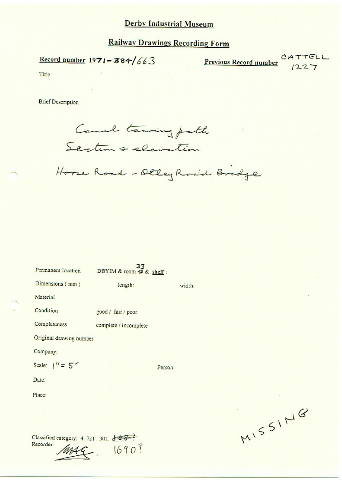# **Railway Drawings Recording Form**

Record number  $1971 - 384/663$ 

CATTELL Previous Record number  $1227$ 

Title

Recorder:

**Brief Description** 



Horse Road - Olley Road Bridge

| Permanent location                     | DBYIM & room +9 & shelf: |         |        |
|----------------------------------------|--------------------------|---------|--------|
| Dimensions (mm)                        | length:                  |         | width: |
| Material                               |                          |         |        |
| Condition                              | good / fair / poor       |         |        |
| Completeness                           | complete / incomplete    |         |        |
| Original drawing number                |                          |         |        |
| Company:                               |                          |         |        |
| Scale: $1'' = 5'$                      |                          | Person: |        |
| Date:                                  |                          |         |        |
| Place:                                 |                          |         |        |
|                                        |                          |         |        |
|                                        |                          |         |        |
| Classified category: 4, 721, 301, 8682 |                          |         |        |

1690?

ME.

MISSING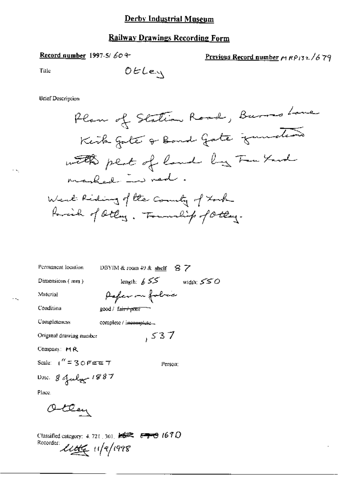# **Railway Drawings Recording Form**

# Record number 1997-5/604

Previous Record number 
$$
\mu
$$
  $RP$   $\frac{32}{6}$  79

ł

Title

$$
\mathcal{OEL} \in \mathcal{L}
$$

**Brief Description** 

| Permanent location         | DBYIM & room $49$ & shelf $87$   |
|----------------------------|----------------------------------|
| Dimensions (mm)            | length: $655$<br>width: $550$    |
| Material                   | Paper on folice                  |
| Condition                  | good / fa <del>ir+prosenta</del> |
| Completeness               | complete / incomplete            |
| Original drawing number    | ,537                             |
| Company: $MA$              |                                  |
| Scale: $1'' = 30$ Fere $7$ | Person:                          |
| Dare. 8 July 1887          |                                  |
| المحافظ                    |                                  |

Place.

Otten

Classified category: 4.721, 301,  $\overbrace{\phantom{1254281}}^{3028}$   $\overbrace{\phantom{125423413}}^{3028}$  (67.0)

÷k,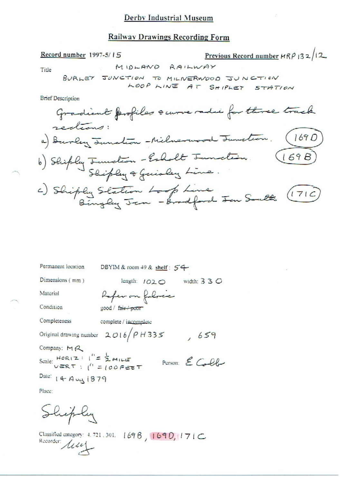#### **Railway Drawings Recording Form**

Previous Record number  $HRP$  132/12 Record number 1997-5/15 MIDLAND RAILWAY Title BURLEY JUNCTION TO MILIVERNOOD JUNCTION LOOP LINE AT SHIPLET STATION **Brief Description** Gradient profiles surveradie for three track redions: a) Burley Junction -Milnerwood Junction. (1690) b) Shiply Junction - Esholt Junction.<br>Shiply & Guislay Line.  $(169B)$ c) Shiply Station Loop Line<br>Bingley Jan - Brodford Jan South (716)

| Permanent location                       | DBYIM & room 49 & shelf: 54          |                |
|------------------------------------------|--------------------------------------|----------------|
| Dimensions (mm)                          | length: 1020                         | width: $330$   |
| Material                                 | Refer on filme                       |                |
| Condition                                | good / fair / poor                   |                |
| Completeness                             | complete / incomplete                |                |
|                                          | Original drawing number $2016/PH335$ | ,659           |
| Company: $M \sim$                        |                                      |                |
| Scale: $HOR(Z)$   $' = \frac{1}{2}$ MILE |                                      | Person: E Coll |
| Date: 14 Aug 1879                        |                                      |                |
| Place:                                   |                                      |                |

Shiply

Classified category: 4.721.301. 1696, 1690, 171C Recorder: **Alle**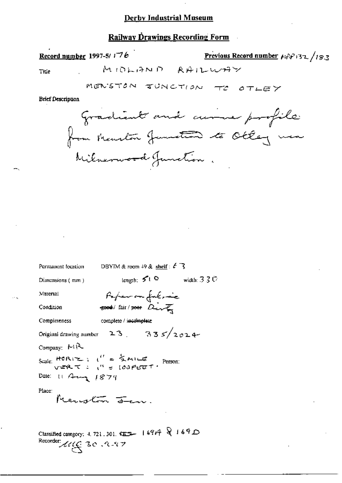## Railway Drawings Recording Form

## Record number 1997-5/ $i76$

Previous Record number  $F_1 \hat{F}_1 \hat{F}_2$  32 /183

Title

**Brief Description** 



DBYTM & room 49 & shelf:  $\ell$ <sup>7</sup> Permanent location length;  $5^{\circ}1^{\circ}$  width:  $33^{\circ}$ Dimensions (mm) Paper on fulnic Material soot/ fair/poor Dirt Condition Completeness complete / incomplete Original drawing number 23. 335/2024 Company: MR Scale: HORIZ:  $i' = \frac{1}{2}$ MILE<br>vere  $\tau$ :  $i'' = 100$ PEET: Date: 11 Aug 1879 Place: Menution <del>de</del> m Classified category: 4, 721, 301,  $\overline{152}$  |  $\overline{167}$   $\overline{169}$  |  $\overline{169}$  D Recorder: 116 30 AM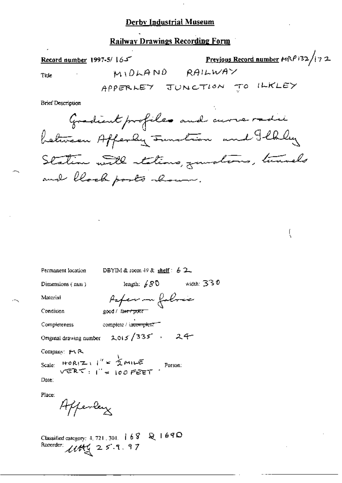## **Railway Drawings Recording Form**

Previous Record number MRP132/172 Record number 1997-5/165 MIDLAND RAILWAY Title APPERLEY JUNCTION TO ILKLEY

**Brief Description** 

Gradient profiles and curve radii between Afferly sunstron and Ilbly Station with stations, junctions, turnels and block posts abour.

ţ

DBYIM & room  $49$  & shelf:  $62$ Permanent location length:  $/80$  width: 330 Dimensions (mm) Paper - folores Material Condition good / fa<del>ir / poor</del> complete / in<del>complete</del> Completeness Original drawing number 2015/335, 24-Company: #1 R Scale: HORIZ :  $i'' = 2$  MILE<br>
VERT :  $i'' = 100$  FEET Date:

Place:

Afferday

Classified category: 4, 721, 301, | 68 Q 1690 Recorder: 1144 25.9.97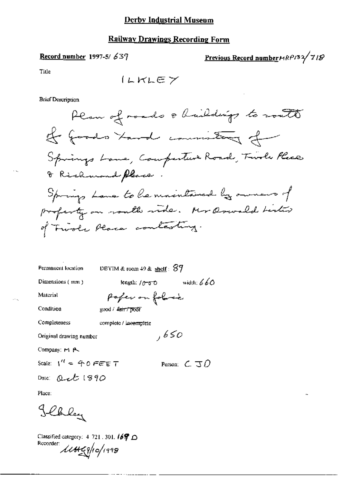## **Railway Drawings Recording Form**

# Record number 1997-5/637

Previous Record number HRP132/718

Title

 $I_LKLEY$ 

**Brief Description** 

DBYIM & room  $49$  & shelf:  $87$ Permanent location length:  $10-60$  width:  $660$ Dimensions (mm) poper on folosie Material Condition good / fair / poor **Completeness** complete / incomplete ,650 Original drawing number Company: M. A. Scale:  $1''$  = 40 FEET Person:  $\zeta \Im \Omega$ Date: Quet 1890

Place:

Blaky

Classified category:  $4$  721, 301,  $169$   $\cap$ Recorder: 11H49/10/1998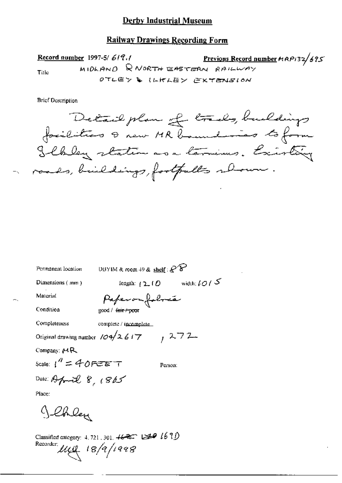#### **Railway Drawings Recording Form**

**er** 1997-5/619.1<br>MIDLAND R NORTH EASTERN RAILWAY Record number 1997-5/619.1 Title OTLEY & ILKLEY EXTENSION

**Brief Description** 

Detail plan et trads, buildings Ilbley staten as a termines. Existing roads, buildings, fortpulls relax.

| Permanent location                  | UBYIM & room $+9$ & shelf: $\mathcal{C}$ $\mathcal{C}$ |                                                  |
|-------------------------------------|--------------------------------------------------------|--------------------------------------------------|
| Dimensions $(mn)$                   | length: $(2, 10)$                                      | width: $\ell$ $\mathcal{O}$ $\ell$ $\mathcal{S}$ |
| Material                            | Paperonfoloxía                                         |                                                  |
| Condition                           | good / <del>fair / poo</del> r                         |                                                  |
| Completeness                        | complete / incomplete                                  |                                                  |
| Original drawing number $104/26$ i7 |                                                        | , 272                                            |
| Company: MR                         |                                                        |                                                  |
| Scale: $1'' = 40$ FEET              |                                                        | Person:                                          |
| Date: April 8, $1865$               |                                                        |                                                  |
| Place:                              |                                                        |                                                  |
| th ley                              |                                                        |                                                  |

Classified entegory: 4, 721, 301,  $46 = 291670$ Recorder  $\mu_{\mathcal{U}}$  18/9/1998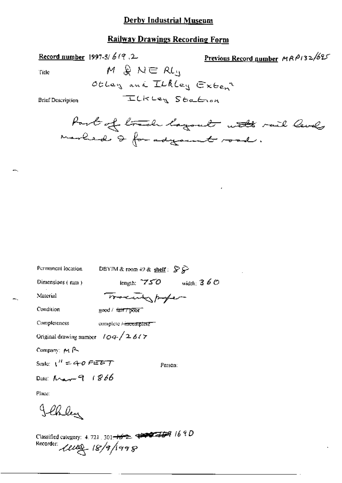## Railway Drawing; Recording Form

Record number 1997-5/  $619$ . 2. Previous Record number  $MRP/32/625$ 

Title  $M \& N \in R L$ 

scum; ¢\\'\ L In/Ma" €><¢=a,§

Brief Description TELKLey Station

Port of board lagoat with rail levels  $-$ warled & for adjoint road.

| Permanent location                 | DBYIM & room 49 & shelf: $\mathcal{S} \mathcal{S}$ |              |
|------------------------------------|----------------------------------------------------|--------------|
| Dimensions (mm)                    | length; $750$                                      | width: $360$ |
| Material                           | Tracenter profer                                   |              |
| Condition                          | good / tair / poor                                 |              |
| Completeness                       | complete <del>Mixtomplete</del>                    |              |
| Original drawing number $104/2617$ |                                                    |              |
| Company: $M \sim$                  |                                                    |              |
| Scale: $\chi'' = 40$ PEBT          | Person:                                            |              |
| Date: $M_{\star} = 9.1866$         |                                                    |              |
| Place:                             |                                                    |              |

Jehley<br>Classified category: 4.721 : 301<del>-162</del> 17 9 0 4 0  $k$ ecorder  $l\nu$ <br> $l\nu$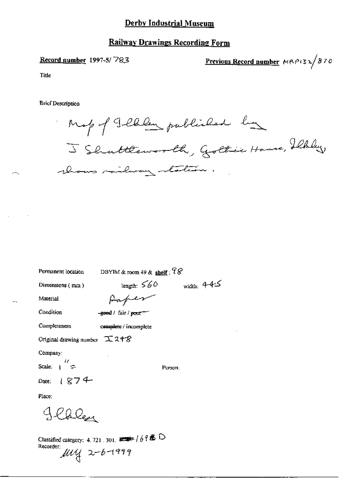## **Railway Drawings Recording Form**

Record number 1997-5/783

Previous Record number MRPI32/870

Title

**Brief Description** 

Map of Jellen published by shows mailway materia

width:  $4-4-5$ 

Permanent location

DBYIM & room 49 & shelf :  $78$ 

length:  $560$ 

Dimensions (mm)

Paper

Condition

Material

-good / fair / poor-

Completeness complete / incomplete

Original drawing number  $\pm$  24%

Company:

Scale:  $\frac{1}{2}$ 

Person:

 $1874$ Date:

Place:

appley

Classified category: 4, 721, 301,  $\overline{a}$   $\rightarrow$   $/69$   $\overline{a}$   $\overline{D}$ Recorder:<br> $\mu$  $\mu$ <br> $2-b$ -1999